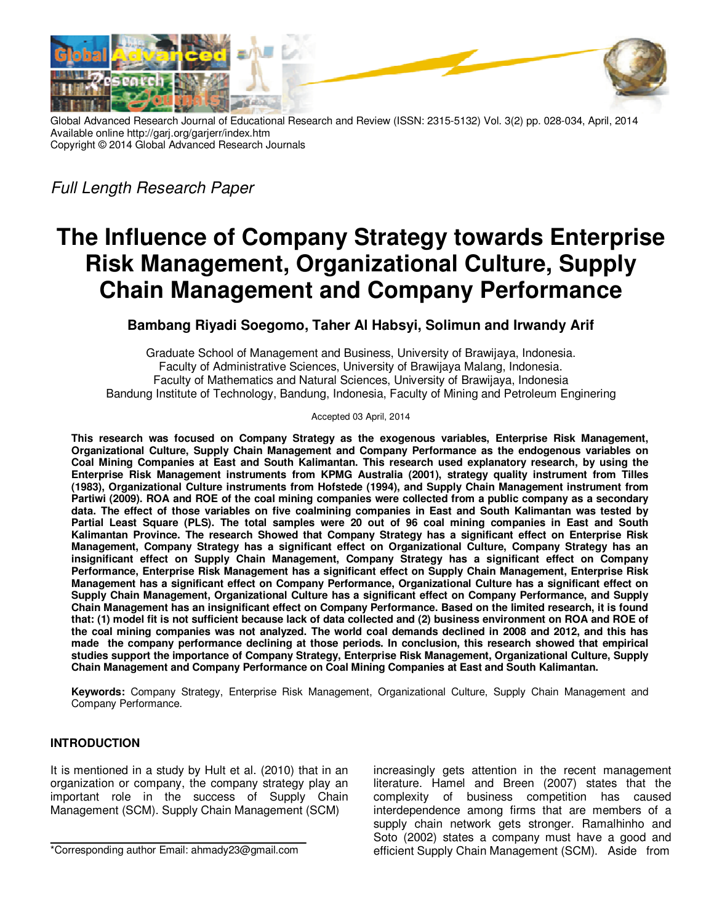

Global Advanced Research Journal of Educational Research and Review (ISSN: 2315-5132) Vol. 3(2) pp. 028-034, April, 2014 Available online http://garj.org/garjerr/index.htm Copyright © 2014 Global Advanced Research Journals

*Full Length Research Paper* 

# **The Influence of Company Strategy towards Enterprise Risk Management, Organizational Culture, Supply Chain Management and Company Performance**

# **Bambang Riyadi Soegomo, Taher Al Habsyi, Solimun and Irwandy Arif**

Graduate School of Management and Business, University of Brawijaya, Indonesia. Faculty of Administrative Sciences, University of Brawijaya Malang, Indonesia. Faculty of Mathematics and Natural Sciences, University of Brawijaya, Indonesia Bandung Institute of Technology, Bandung, Indonesia, Faculty of Mining and Petroleum Enginering

Accepted 03 April, 2014

**This research was focused on Company Strategy as the exogenous variables, Enterprise Risk Management, Organizational Culture, Supply Chain Management and Company Performance as the endogenous variables on Coal Mining Companies at East and South Kalimantan. This research used explanatory research, by using the Enterprise Risk Management instruments from KPMG Australia (2001), strategy quality instrument from Tilles (1983), Organizational Culture instruments from Hofstede (1994), and Supply Chain Management instrument from Partiwi (2009). ROA and ROE of the coal mining companies were collected from a public company as a secondary data. The effect of those variables on five coalmining companies in East and South Kalimantan was tested by Partial Least Square (PLS). The total samples were 20 out of 96 coal mining companies in East and South Kalimantan Province. The research Showed that Company Strategy has a significant effect on Enterprise Risk Management, Company Strategy has a significant effect on Organizational Culture, Company Strategy has an insignificant effect on Supply Chain Management, Company Strategy has a significant effect on Company Performance, Enterprise Risk Management has a significant effect on Supply Chain Management, Enterprise Risk Management has a significant effect on Company Performance, Organizational Culture has a significant effect on Supply Chain Management, Organizational Culture has a significant effect on Company Performance, and Supply Chain Management has an insignificant effect on Company Performance. Based on the limited research, it is found that: (1) model fit is not sufficient because lack of data collected and (2) business environment on ROA and ROE of the coal mining companies was not analyzed. The world coal demands declined in 2008 and 2012, and this has made the company performance declining at those periods. In conclusion, this research showed that empirical studies support the importance of Company Strategy, Enterprise Risk Management, Organizational Culture, Supply Chain Management and Company Performance on Coal Mining Companies at East and South Kalimantan.** 

**Keywords:** Company Strategy, Enterprise Risk Management, Organizational Culture, Supply Chain Management and Company Performance.

# **INTRODUCTION**

It is mentioned in a study by Hult et al. (2010) that in an organization or company, the company strategy play an important role in the success of Supply Chain Management (SCM). Supply Chain Management (SCM)

increasingly gets attention in the recent management literature. Hamel and Breen (2007) states that the complexity of business competition has caused interdependence among firms that are members of a supply chain network gets stronger. Ramalhinho and Soto (2002) states a company must have a good and efficient Supply Chain Management (SCM). Aside from

<sup>\*</sup>Corresponding author Email: ahmady23@gmail.com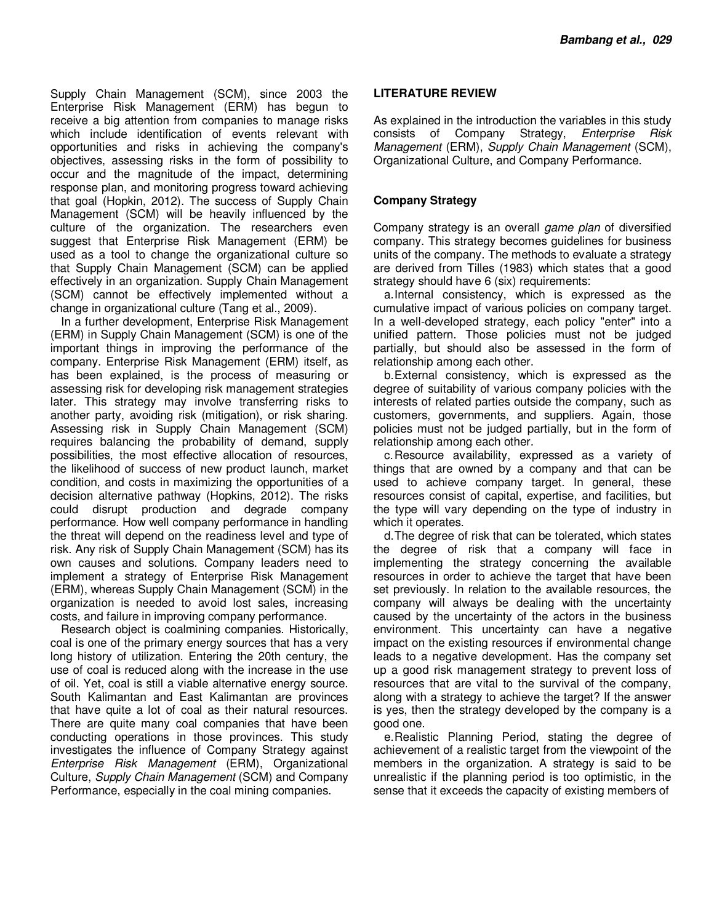Supply Chain Management (SCM), since 2003 the Enterprise Risk Management (ERM) has begun to receive a big attention from companies to manage risks which include identification of events relevant with opportunities and risks in achieving the company's objectives, assessing risks in the form of possibility to occur and the magnitude of the impact, determining response plan, and monitoring progress toward achieving that goal (Hopkin, 2012). The success of Supply Chain Management (SCM) will be heavily influenced by the culture of the organization. The researchers even suggest that Enterprise Risk Management (ERM) be used as a tool to change the organizational culture so that Supply Chain Management (SCM) can be applied effectively in an organization. Supply Chain Management (SCM) cannot be effectively implemented without a change in organizational culture (Tang et al., 2009).

In a further development, Enterprise Risk Management (ERM) in Supply Chain Management (SCM) is one of the important things in improving the performance of the company. Enterprise Risk Management (ERM) itself, as has been explained, is the process of measuring or assessing risk for developing risk management strategies later. This strategy may involve transferring risks to another party, avoiding risk (mitigation), or risk sharing. Assessing risk in Supply Chain Management (SCM) requires balancing the probability of demand, supply possibilities, the most effective allocation of resources, the likelihood of success of new product launch, market condition, and costs in maximizing the opportunities of a decision alternative pathway (Hopkins, 2012). The risks could disrupt production and degrade company performance. How well company performance in handling the threat will depend on the readiness level and type of risk. Any risk of Supply Chain Management (SCM) has its own causes and solutions. Company leaders need to implement a strategy of Enterprise Risk Management (ERM), whereas Supply Chain Management (SCM) in the organization is needed to avoid lost sales, increasing costs, and failure in improving company performance.

Research object is coalmining companies. Historically, coal is one of the primary energy sources that has a very long history of utilization. Entering the 20th century, the use of coal is reduced along with the increase in the use of oil. Yet, coal is still a viable alternative energy source. South Kalimantan and East Kalimantan are provinces that have quite a lot of coal as their natural resources. There are quite many coal companies that have been conducting operations in those provinces. This study investigates the influence of Company Strategy against *Enterprise Risk Management* (ERM), Organizational Culture, *Supply Chain Management* (SCM) and Company Performance, especially in the coal mining companies.

## **LITERATURE REVIEW**

As explained in the introduction the variables in this study consists of Company Strategy, *Enterprise Risk Management* (ERM), *Supply Chain Management* (SCM), Organizational Culture, and Company Performance.

# **Company Strategy**

Company strategy is an overall *game plan* of diversified company. This strategy becomes guidelines for business units of the company. The methods to evaluate a strategy are derived from Tilles (1983) which states that a good strategy should have 6 (six) requirements:

a. Internal consistency, which is expressed as the cumulative impact of various policies on company target. In a well-developed strategy, each policy "enter" into a unified pattern. Those policies must not be judged partially, but should also be assessed in the form of relationship among each other.

b. External consistency, which is expressed as the degree of suitability of various company policies with the interests of related parties outside the company, such as customers, governments, and suppliers. Again, those policies must not be judged partially, but in the form of relationship among each other.

c. Resource availability, expressed as a variety of things that are owned by a company and that can be used to achieve company target. In general, these resources consist of capital, expertise, and facilities, but the type will vary depending on the type of industry in which it operates.

d. The degree of risk that can be tolerated, which states the degree of risk that a company will face in implementing the strategy concerning the available resources in order to achieve the target that have been set previously. In relation to the available resources, the company will always be dealing with the uncertainty caused by the uncertainty of the actors in the business environment. This uncertainty can have a negative impact on the existing resources if environmental change leads to a negative development. Has the company set up a good risk management strategy to prevent loss of resources that are vital to the survival of the company, along with a strategy to achieve the target? If the answer is yes, then the strategy developed by the company is a good one.

e. Realistic Planning Period, stating the degree of achievement of a realistic target from the viewpoint of the members in the organization. A strategy is said to be unrealistic if the planning period is too optimistic, in the sense that it exceeds the capacity of existing members of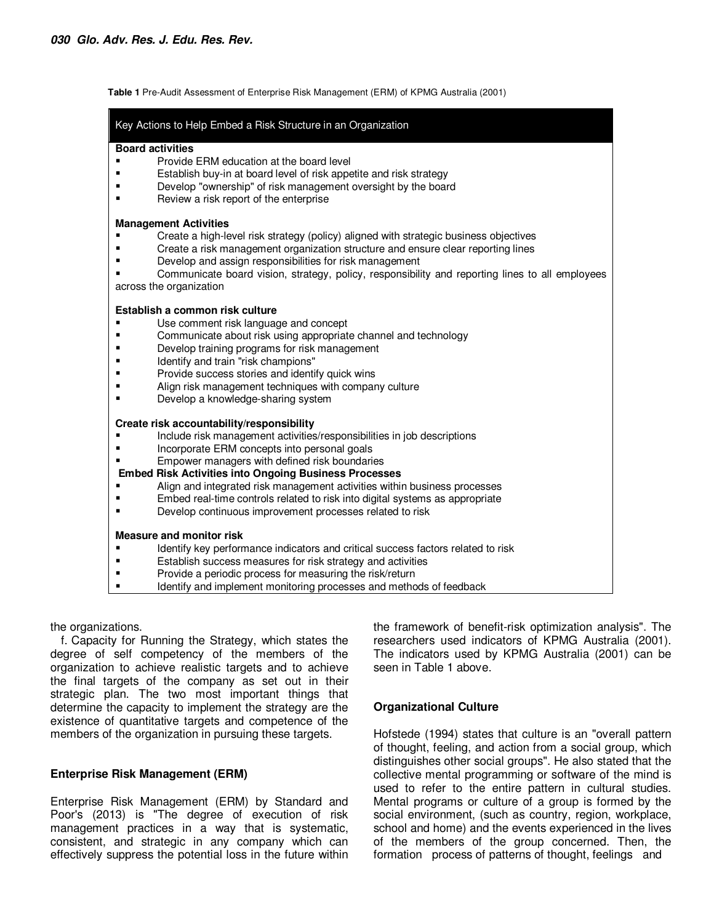**Table 1** Pre-Audit Assessment of Enterprise Risk Management (ERM) of KPMG Australia (2001)

| Key Actions to Help Embed a Risk Structure in an Organization                                                 |  |  |  |  |  |
|---------------------------------------------------------------------------------------------------------------|--|--|--|--|--|
| <b>Board activities</b>                                                                                       |  |  |  |  |  |
| Provide ERM education at the board level                                                                      |  |  |  |  |  |
| Establish buy-in at board level of risk appetite and risk strategy                                            |  |  |  |  |  |
| Develop "ownership" of risk management oversight by the board                                                 |  |  |  |  |  |
| Review a risk report of the enterprise                                                                        |  |  |  |  |  |
| <b>Management Activities</b>                                                                                  |  |  |  |  |  |
| Create a high-level risk strategy (policy) aligned with strategic business objectives                         |  |  |  |  |  |
| Create a risk management organization structure and ensure clear reporting lines                              |  |  |  |  |  |
| Develop and assign responsibilities for risk management                                                       |  |  |  |  |  |
| Communicate board vision, strategy, policy, responsibility and reporting lines to all employees               |  |  |  |  |  |
| across the organization                                                                                       |  |  |  |  |  |
| Establish a common risk culture                                                                               |  |  |  |  |  |
| Use comment risk language and concept<br>п                                                                    |  |  |  |  |  |
| Communicate about risk using appropriate channel and technology                                               |  |  |  |  |  |
| Develop training programs for risk management                                                                 |  |  |  |  |  |
| Identify and train "risk champions"                                                                           |  |  |  |  |  |
| Provide success stories and identify quick wins<br>Align risk management techniques with company culture      |  |  |  |  |  |
| Develop a knowledge-sharing system                                                                            |  |  |  |  |  |
|                                                                                                               |  |  |  |  |  |
| Create risk accountability/responsibility                                                                     |  |  |  |  |  |
| Include risk management activities/responsibilities in job descriptions                                       |  |  |  |  |  |
| Incorporate ERM concepts into personal goals<br>п                                                             |  |  |  |  |  |
| Empower managers with defined risk boundaries<br><b>Embed Risk Activities into Ongoing Business Processes</b> |  |  |  |  |  |
| Align and integrated risk management activities within business processes                                     |  |  |  |  |  |
| Embed real-time controls related to risk into digital systems as appropriate                                  |  |  |  |  |  |
| Develop continuous improvement processes related to risk                                                      |  |  |  |  |  |
| <b>Measure and monitor risk</b>                                                                               |  |  |  |  |  |
| Identify key performance indicators and critical success factors related to risk                              |  |  |  |  |  |
| Establish success measures for risk strategy and activities                                                   |  |  |  |  |  |
| Provide a periodic process for measuring the risk/return                                                      |  |  |  |  |  |
| Identify and implement monitoring processes and methods of feedback                                           |  |  |  |  |  |

the organizations.

f. Capacity for Running the Strategy, which states the degree of self competency of the members of the organization to achieve realistic targets and to achieve the final targets of the company as set out in their strategic plan. The two most important things that determine the capacity to implement the strategy are the existence of quantitative targets and competence of the members of the organization in pursuing these targets.

# **Enterprise Risk Management (ERM)**

Enterprise Risk Management (ERM) by Standard and Poor's (2013) is "The degree of execution of risk management practices in a way that is systematic, consistent, and strategic in any company which can effectively suppress the potential loss in the future within

the framework of benefit-risk optimization analysis". The researchers used indicators of KPMG Australia (2001). The indicators used by KPMG Australia (2001) can be seen in Table 1 above.

# **Organizational Culture**

Hofstede (1994) states that culture is an "overall pattern of thought, feeling, and action from a social group, which distinguishes other social groups". He also stated that the collective mental programming or software of the mind is used to refer to the entire pattern in cultural studies. Mental programs or culture of a group is formed by the social environment, (such as country, region, workplace, school and home) and the events experienced in the lives of the members of the group concerned. Then, the formation process of patterns of thought, feelings and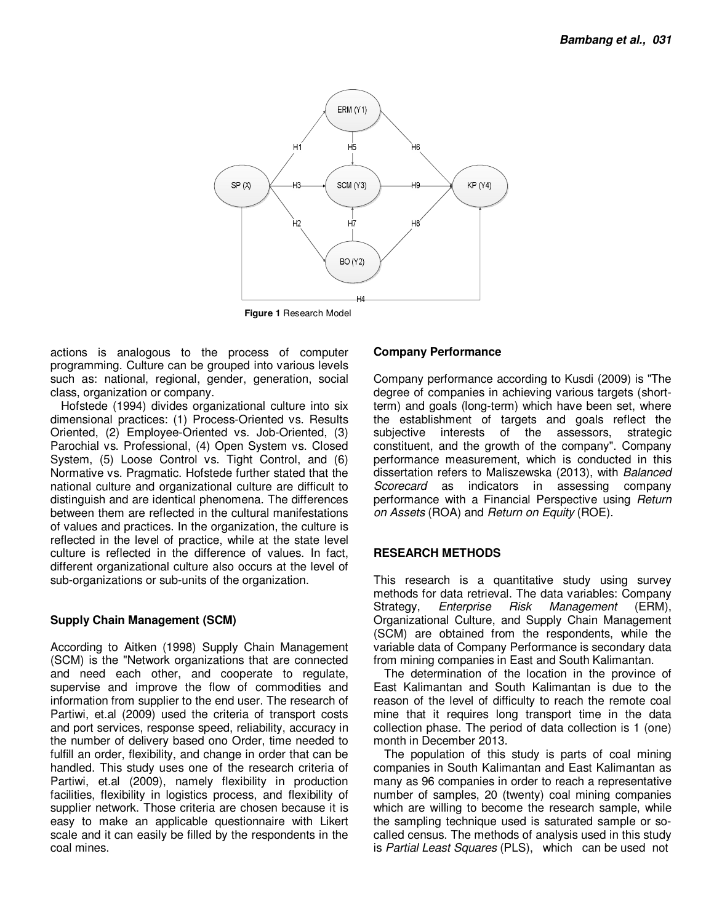

**Figure 1** Research Model

actions is analogous to the process of computer programming. Culture can be grouped into various levels such as: national, regional, gender, generation, social class, organization or company.

Hofstede (1994) divides organizational culture into six dimensional practices: (1) Process-Oriented vs. Results Oriented, (2) Employee-Oriented vs. Job-Oriented, (3) Parochial vs. Professional, (4) Open System vs. Closed System, (5) Loose Control vs. Tight Control, and (6) Normative vs. Pragmatic. Hofstede further stated that the national culture and organizational culture are difficult to distinguish and are identical phenomena. The differences between them are reflected in the cultural manifestations of values and practices. In the organization, the culture is reflected in the level of practice, while at the state level culture is reflected in the difference of values. In fact, different organizational culture also occurs at the level of sub-organizations or sub-units of the organization.

# **Supply Chain Management (SCM)**

According to Aitken (1998) Supply Chain Management (SCM) is the "Network organizations that are connected and need each other, and cooperate to regulate, supervise and improve the flow of commodities and information from supplier to the end user. The research of Partiwi, et.al (2009) used the criteria of transport costs and port services, response speed, reliability, accuracy in the number of delivery based ono Order, time needed to fulfill an order, flexibility, and change in order that can be handled. This study uses one of the research criteria of Partiwi, et.al (2009), namely flexibility in production facilities, flexibility in logistics process, and flexibility of supplier network. Those criteria are chosen because it is easy to make an applicable questionnaire with Likert scale and it can easily be filled by the respondents in the coal mines.

## **Company Performance**

Company performance according to Kusdi (2009) is "The degree of companies in achieving various targets (shortterm) and goals (long-term) which have been set, where the establishment of targets and goals reflect the subjective interests of the assessors, strategic constituent, and the growth of the company". Company performance measurement, which is conducted in this dissertation refers to Maliszewska (2013), with *Balanced Scorecard* as indicators in assessing company performance with a Financial Perspective using *Return on Assets* (ROA) and *Return on Equity* (ROE).

#### **RESEARCH METHODS**

This research is a quantitative study using survey methods for data retrieval. The data variables: Company Strategy, *Enterprise Risk Management* (ERM), Organizational Culture, and Supply Chain Management (SCM) are obtained from the respondents, while the variable data of Company Performance is secondary data from mining companies in East and South Kalimantan.

The determination of the location in the province of East Kalimantan and South Kalimantan is due to the reason of the level of difficulty to reach the remote coal mine that it requires long transport time in the data collection phase. The period of data collection is 1 (one) month in December 2013.

The population of this study is parts of coal mining companies in South Kalimantan and East Kalimantan as many as 96 companies in order to reach a representative number of samples, 20 (twenty) coal mining companies which are willing to become the research sample, while the sampling technique used is saturated sample or socalled census. The methods of analysis used in this study is *Partial Least Squares* (PLS), which can be used not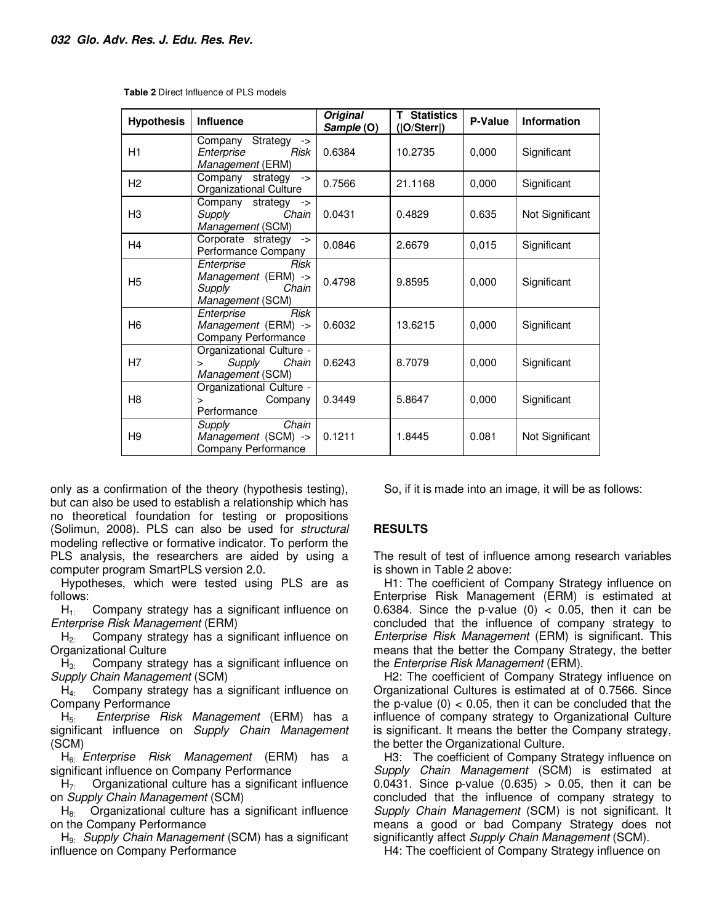| <b>Hypothesis</b> | <b>Influence</b>                                                                 | <b>Original</b><br>Sample (O) | <b>T</b> Statistics<br>( O/Sterr ) | P-Value | <b>Information</b> |
|-------------------|----------------------------------------------------------------------------------|-------------------------------|------------------------------------|---------|--------------------|
| H1                | Strategy<br>Company<br>$\rightarrow$<br>Enterprise<br>Risk<br>Management (ERM)   | 0.6384                        | 10.2735                            | 0,000   | Significant        |
| H <sub>2</sub>    | Company strategy<br>$\rightarrow$<br><b>Organizational Culture</b>               | 0.7566                        | 21.1168                            | 0,000   | Significant        |
| H <sub>3</sub>    | Company strategy<br>$\rightarrow$<br>Supply<br>Chain<br>Management (SCM)         | 0.0431                        | 0.4829                             | 0.635   | Not Significant    |
| H <sub>4</sub>    | Corporate strategy<br>$\rightarrow$<br>Performance Company                       | 0.0846                        | 2.6679                             | 0,015   | Significant        |
| H <sub>5</sub>    | Risk<br>Enterprise<br>Management (ERM) -><br>Supply<br>Chain<br>Management (SCM) | 0.4798                        | 9.8595                             | 0,000   | Significant        |
| H <sub>6</sub>    | <b>Risk</b><br>Enterprise<br>Management (ERM) -><br>Company Performance          | 0.6032                        | 13.6215                            | 0,000   | Significant        |
| H7                | Organizational Culture -<br>Supply<br>Chain<br>$\geq$<br>Management (SCM)        | 0.6243                        | 8.7079                             | 0,000   | Significant        |
| H <sub>8</sub>    | Organizational Culture -<br>Company<br>$\geq$<br>Performance                     | 0.3449                        | 5.8647                             | 0,000   | Significant        |
| H <sub>9</sub>    | Chain<br>Supply<br>Management (SCM) -><br>Company Performance                    | 0.1211                        | 1.8445                             | 0.081   | Not Significant    |

**Table 2** Direct Influence of PLS models

only as a confirmation of the theory (hypothesis testing), but can also be used to establish a relationship which has no theoretical foundation for testing or propositions (Solimun, 2008). PLS can also be used for *structural* modeling reflective or formative indicator. To perform the PLS analysis, the researchers are aided by using a computer program SmartPLS version 2.0.

Hypotheses, which were tested using PLS are as follows:

 $H<sub>1</sub>$ : Company strategy has a significant influence on *Enterprise Risk Management* (ERM)

 $H<sub>2</sub>$  Company strategy has a significant influence on Organizational Culture

 $H_3$ : Company strategy has a significant influence on *Supply Chain Management* (SCM)

 $H_{4}$ : Company strategy has a significant influence on Company Performance

H5: *Enterprise Risk Management* (ERM) has a significant influence on *Supply Chain Management* (SCM)

H6: *Enterprise Risk Management* (ERM) has a significant influence on Company Performance

 $H<sub>7</sub>$  Organizational culture has a significant influence on *Supply Chain Management* (SCM)

 $H_{8}$ : Organizational culture has a significant influence on the Company Performance

H9: *Supply Chain Management* (SCM) has a significant influence on Company Performance

So, if it is made into an image, it will be as follows:

#### **RESULTS**

The result of test of influence among research variables is shown in Table 2 above:

H1: The coefficient of Company Strategy influence on Enterprise Risk Management (ERM) is estimated at 0.6384. Since the p-value  $(0)$  < 0.05, then it can be concluded that the influence of company strategy to *Enterprise Risk Management* (ERM) is significant. This means that the better the Company Strategy, the better the *Enterprise Risk Management* (ERM).

H2: The coefficient of Company Strategy influence on Organizational Cultures is estimated at of 0.7566. Since the p-value  $(0)$  < 0.05, then it can be concluded that the influence of company strategy to Organizational Culture is significant. It means the better the Company strategy, the better the Organizational Culture.

H3: The coefficient of Company Strategy influence on *Supply Chain Management* (SCM) is estimated at 0.0431. Since p-value (0.635) > 0.05, then it can be concluded that the influence of company strategy to *Supply Chain Management* (SCM) is not significant. It means a good or bad Company Strategy does not significantly affect *Supply Chain Management* (SCM).

H4: The coefficient of Company Strategy influence on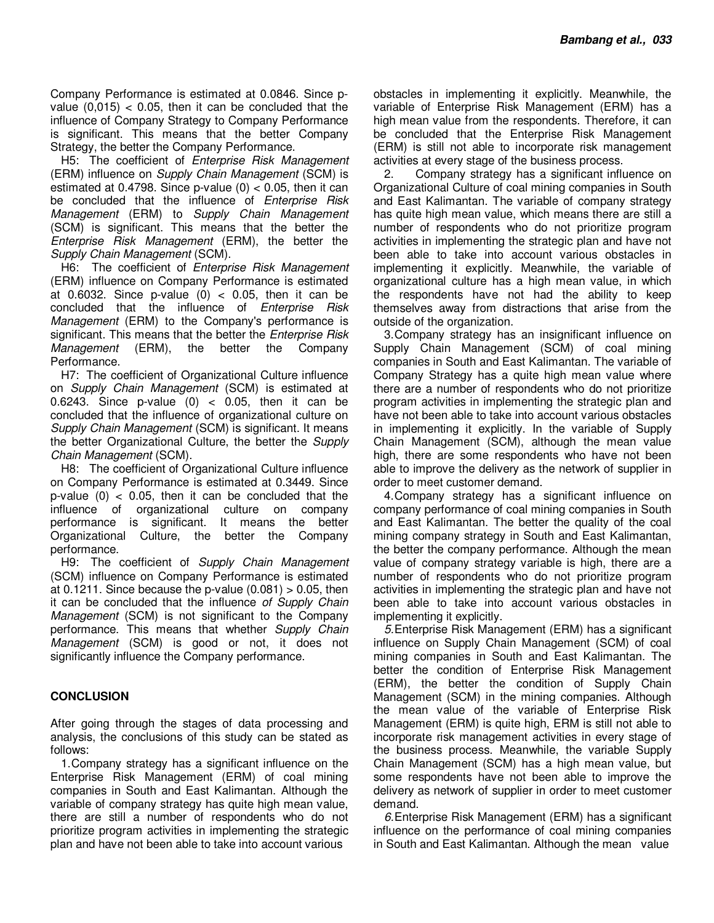Company Performance is estimated at 0.0846. Since pvalue  $(0.015) < 0.05$ , then it can be concluded that the influence of Company Strategy to Company Performance is significant. This means that the better Company Strategy, the better the Company Performance.

H5: The coefficient of *Enterprise Risk Management* (ERM) influence on *Supply Chain Management* (SCM) is estimated at 0.4798. Since p-value  $(0) < 0.05$ , then it can be concluded that the influence of *Enterprise Risk Management* (ERM) to *Supply Chain Management* (SCM) is significant. This means that the better the *Enterprise Risk Management* (ERM), the better the *Supply Chain Management* (SCM).

H6: The coefficient of *Enterprise Risk Management* (ERM) influence on Company Performance is estimated at 0.6032. Since p-value  $(0)$  < 0.05, then it can be concluded that the influence of *Enterprise Risk Management* (ERM) to the Company's performance is significant. This means that the better the *Enterprise Risk Management* (ERM), the better the Company Performance.

H7: The coefficient of Organizational Culture influence on *Supply Chain Management* (SCM) is estimated at 0.6243. Since p-value  $(0)$  < 0.05, then it can be concluded that the influence of organizational culture on *Supply Chain Management* (SCM) is significant. It means the better Organizational Culture, the better the *Supply Chain Management* (SCM).

H8: The coefficient of Organizational Culture influence on Company Performance is estimated at 0.3449. Since p-value  $(0)$  < 0.05, then it can be concluded that the influence of organizational culture on company performance is significant. It means the better Organizational Culture, the better the Company performance.

H9: The coefficient of *Supply Chain Management* (SCM) influence on Company Performance is estimated at  $0.1211$ . Since because the p-value  $(0.081) > 0.05$ , then it can be concluded that the influence *of Supply Chain Management* (SCM) is not significant to the Company performance. This means that whether *Supply Chain Management* (SCM) is good or not, it does not significantly influence the Company performance.

#### **CONCLUSION**

After going through the stages of data processing and analysis, the conclusions of this study can be stated as follows:

1. Company strategy has a significant influence on the Enterprise Risk Management (ERM) of coal mining companies in South and East Kalimantan. Although the variable of company strategy has quite high mean value, there are still a number of respondents who do not prioritize program activities in implementing the strategic plan and have not been able to take into account various

obstacles in implementing it explicitly. Meanwhile, the variable of Enterprise Risk Management (ERM) has a high mean value from the respondents. Therefore, it can be concluded that the Enterprise Risk Management (ERM) is still not able to incorporate risk management activities at every stage of the business process.

2. Company strategy has a significant influence on Organizational Culture of coal mining companies in South and East Kalimantan. The variable of company strategy has quite high mean value, which means there are still a number of respondents who do not prioritize program activities in implementing the strategic plan and have not been able to take into account various obstacles in implementing it explicitly. Meanwhile, the variable of organizational culture has a high mean value, in which the respondents have not had the ability to keep themselves away from distractions that arise from the outside of the organization.

3. Company strategy has an insignificant influence on Supply Chain Management (SCM) of coal mining companies in South and East Kalimantan. The variable of Company Strategy has a quite high mean value where there are a number of respondents who do not prioritize program activities in implementing the strategic plan and have not been able to take into account various obstacles in implementing it explicitly. In the variable of Supply Chain Management (SCM), although the mean value high, there are some respondents who have not been able to improve the delivery as the network of supplier in order to meet customer demand.

4. Company strategy has a significant influence on company performance of coal mining companies in South and East Kalimantan. The better the quality of the coal mining company strategy in South and East Kalimantan, the better the company performance. Although the mean value of company strategy variable is high, there are a number of respondents who do not prioritize program activities in implementing the strategic plan and have not been able to take into account various obstacles in implementing it explicitly.

*5.* Enterprise Risk Management (ERM) has a significant influence on Supply Chain Management (SCM) of coal mining companies in South and East Kalimantan. The better the condition of Enterprise Risk Management (ERM), the better the condition of Supply Chain Management (SCM) in the mining companies. Although the mean value of the variable of Enterprise Risk Management (ERM) is quite high, ERM is still not able to incorporate risk management activities in every stage of the business process. Meanwhile, the variable Supply Chain Management (SCM) has a high mean value, but some respondents have not been able to improve the delivery as network of supplier in order to meet customer demand.

*6.* Enterprise Risk Management (ERM) has a significant influence on the performance of coal mining companies in South and East Kalimantan. Although the mean value